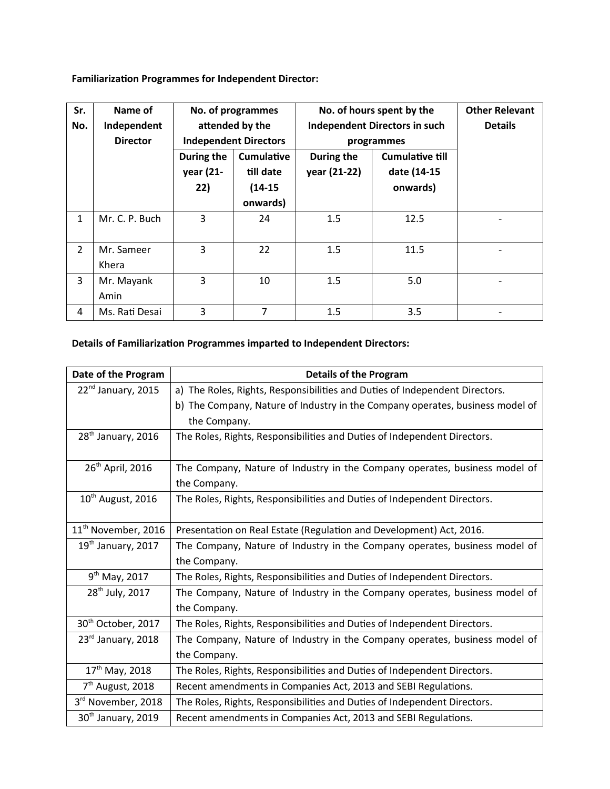**Familiarization Programmes for Independent Director:**

| Sr.<br>No.     | Name of<br>Independent<br><b>Director</b> | No. of programmes<br>attended by the<br><b>Independent Directors</b> |                                | No. of hours spent by the<br><b>Independent Directors in such</b><br>programmes |                                       | <b>Other Relevant</b><br><b>Details</b> |
|----------------|-------------------------------------------|----------------------------------------------------------------------|--------------------------------|---------------------------------------------------------------------------------|---------------------------------------|-----------------------------------------|
|                |                                           | During the<br>year (21-                                              | <b>Cumulative</b><br>till date | During the<br>year (21-22)                                                      | <b>Cumulative till</b><br>date (14-15 |                                         |
|                |                                           | 22)                                                                  | $(14-15)$                      |                                                                                 | onwards)                              |                                         |
|                |                                           |                                                                      | onwards)                       |                                                                                 |                                       |                                         |
| $\mathbf{1}$   | Mr. C. P. Buch                            | 3                                                                    | 24                             | 1.5                                                                             | 12.5                                  |                                         |
| $\overline{2}$ | Mr. Sameer<br>Khera                       | 3                                                                    | 22                             | 1.5                                                                             | 11.5                                  |                                         |
| 3              | Mr. Mayank<br>Amin                        | 3                                                                    | 10                             | 1.5                                                                             | 5.0                                   |                                         |
| 4              | Ms. Rati Desai                            | 3                                                                    | 7                              | 1.5                                                                             | 3.5                                   |                                         |

## **Details of Familiarization Programmes imparted to Independent Directors:**

| Date of the Program             | <b>Details of the Program</b>                                                 |  |  |  |  |
|---------------------------------|-------------------------------------------------------------------------------|--|--|--|--|
| 22 <sup>nd</sup> January, 2015  | a) The Roles, Rights, Responsibilities and Duties of Independent Directors.   |  |  |  |  |
|                                 | b) The Company, Nature of Industry in the Company operates, business model of |  |  |  |  |
|                                 | the Company.                                                                  |  |  |  |  |
| $28th$ January, 2016            | The Roles, Rights, Responsibilities and Duties of Independent Directors.      |  |  |  |  |
| 26 <sup>th</sup> April, 2016    | The Company, Nature of Industry in the Company operates, business model of    |  |  |  |  |
|                                 | the Company.                                                                  |  |  |  |  |
| $10th$ August, 2016             | The Roles, Rights, Responsibilities and Duties of Independent Directors.      |  |  |  |  |
|                                 |                                                                               |  |  |  |  |
| 11 <sup>th</sup> November, 2016 | Presentation on Real Estate (Regulation and Development) Act, 2016.           |  |  |  |  |
| $19th$ January, 2017            | The Company, Nature of Industry in the Company operates, business model of    |  |  |  |  |
|                                 | the Company.                                                                  |  |  |  |  |
| $9^{th}$ May, 2017              | The Roles, Rights, Responsibilities and Duties of Independent Directors.      |  |  |  |  |
| 28 <sup>th</sup> July, 2017     | The Company, Nature of Industry in the Company operates, business model of    |  |  |  |  |
|                                 | the Company.                                                                  |  |  |  |  |
| 30 <sup>th</sup> October, 2017  | The Roles, Rights, Responsibilities and Duties of Independent Directors.      |  |  |  |  |
| 23rd January, 2018              | The Company, Nature of Industry in the Company operates, business model of    |  |  |  |  |
|                                 | the Company.                                                                  |  |  |  |  |
| 17 <sup>th</sup> May, 2018      | The Roles, Rights, Responsibilities and Duties of Independent Directors.      |  |  |  |  |
| 7 <sup>th</sup> August, 2018    | Recent amendments in Companies Act, 2013 and SEBI Regulations.                |  |  |  |  |
| 3rd November, 2018              | The Roles, Rights, Responsibilities and Duties of Independent Directors.      |  |  |  |  |
| 30 <sup>th</sup> January, 2019  | Recent amendments in Companies Act, 2013 and SEBI Regulations.                |  |  |  |  |